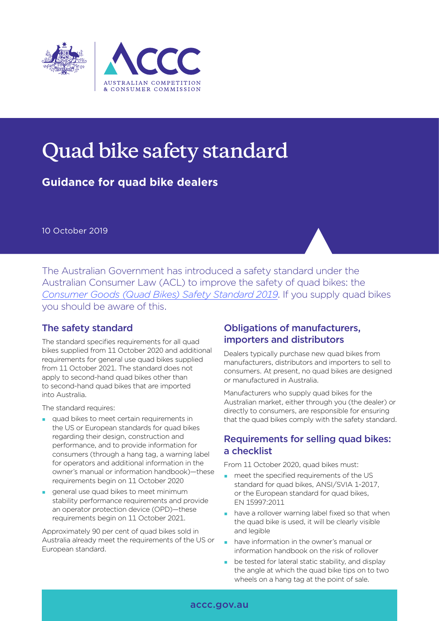

# **Quad bike safety standard**

**Guidance for quad bike dealers**

10 October 2019

The Australian Government has introduced a safety standard under the Australian Consumer Law (ACL) to improve the safety of quad bikes: the *Consumer Goods (Quad Bikes) Safety Standard 2019*. If you supply quad bikes you should be aware of this.

# The safety standard

The standard specifies requirements for all quad bikes supplied from 11 October 2020 and additional requirements for general use quad bikes supplied from 11 October 2021. The standard does not apply to second-hand quad bikes other than to second-hand quad bikes that are imported into Australia.

The standard requires:

- quad bikes to meet certain requirements in the US or European standards for quad bikes regarding their design, construction and performance, and to provide information for consumers (through a hang tag, a warning label for operators and additional information in the owner's manual or information handbook)—these requirements begin on 11 October 2020
- general use quad bikes to meet minimum stability performance requirements and provide an operator protection device (OPD)—these requirements begin on 11 October 2021.

Approximately 90 per cent of quad bikes sold in Australia already meet the requirements of the US or European standard.

## Obligations of manufacturers, importers and distributors

Dealers typically purchase new quad bikes from manufacturers, distributors and importers to sell to consumers. At present, no quad bikes are designed or manufactured in Australia.

Manufacturers who supply quad bikes for the Australian market, either through you (the dealer) or directly to consumers, are responsible for ensuring that the quad bikes comply with the safety standard.

## Requirements for selling quad bikes: a checklist

From 11 October 2020, quad bikes must:

- **n** meet the specified requirements of the US standard for quad bikes, ANSI/SVIA 1-2017, or the European standard for quad bikes, EN 15997:2011
- **have a rollover warning label fixed so that when** the quad bike is used, it will be clearly visible and legible
- have information in the owner's manual or information handbook on the risk of rollover
- **be tested for lateral static stability, and display** the angle at which the quad bike tips on to two wheels on a hang tag at the point of sale.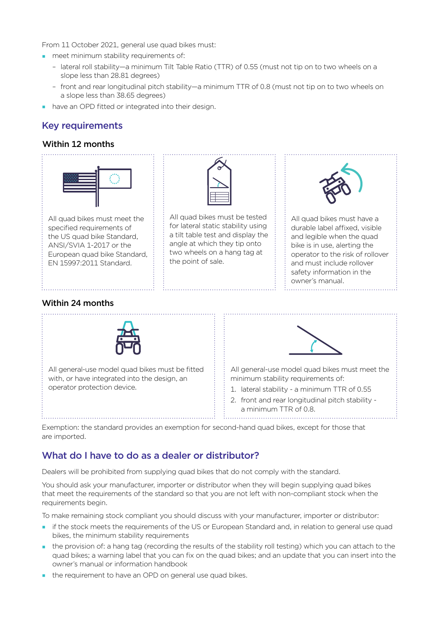From 11 October 2021, general use quad bikes must:

- **n** meet minimum stability requirements of:
	- lateral roll stability—a minimum Tilt Table Ratio (TTR) of 0.55 (must not tip on to two wheels on a slope less than 28.81 degrees)
	- front and rear longitudinal pitch stability—a minimum TTR of 0.8 (must not tip on to two wheels on a slope less than 38.65 degrees)
- have an OPD fitted or integrated into their design.

## Key requirements

#### Within 12 months



specified requirements of the US quad bike Standard, ANSI/SVIA 1-2017 or the European quad bike Standard, EN 15997:2011 Standard.



All quad bikes must be tested for lateral static stability using a tilt table test and display the angle at which they tip onto two wheels on a hang tag at the point of sale.



All quad bikes must have a durable label affixed, visible and legible when the quad bike is in use, alerting the operator to the risk of rollover and must include rollover safety information in the owner's manual.

#### Within 24 months



All general-use model quad bikes must be fitted with, or have integrated into the design, an operator protection device.



All general-use model quad bikes must meet the minimum stability requirements of:

- 1. lateral stability a minimum TTR of 0.55
- 2. front and rear longitudinal pitch stability a minimum TTR of 0.8.

Exemption: the standard provides an exemption for second-hand quad bikes, except for those that are imported.

# What do I have to do as a dealer or distributor?

Dealers will be prohibited from supplying quad bikes that do not comply with the standard.

You should ask your manufacturer, importer or distributor when they will begin supplying quad bikes that meet the requirements of the standard so that you are not left with non-compliant stock when the requirements begin.

To make remaining stock compliant you should discuss with your manufacturer, importer or distributor:

- if the stock meets the requirements of the US or European Standard and, in relation to general use quad bikes, the minimum stability requirements
- the provision of: a hang tag (recording the results of the stability roll testing) which you can attach to the quad bikes; a warning label that you can fix on the quad bikes; and an update that you can insert into the owner's manual or information handbook
- the requirement to have an OPD on general use quad bikes.